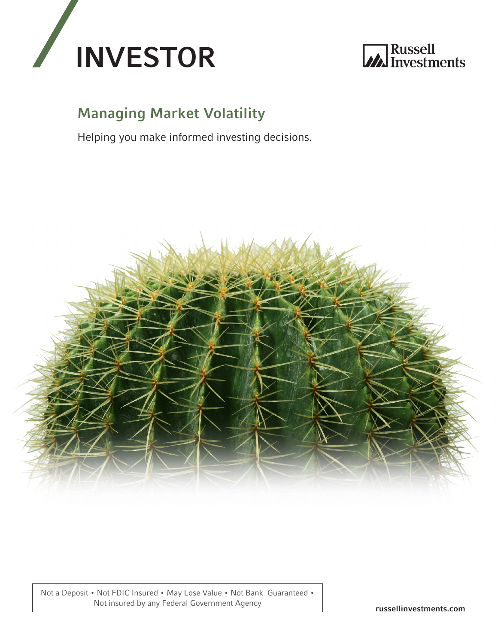



## Managing Market Volatility

Helping you make informed investing decisions.



Not a Deposit • Not FDIC Insured • May Lose Value • Not Bank Guaranteed • Not insured by any Federal Government Agency russellinvestments.com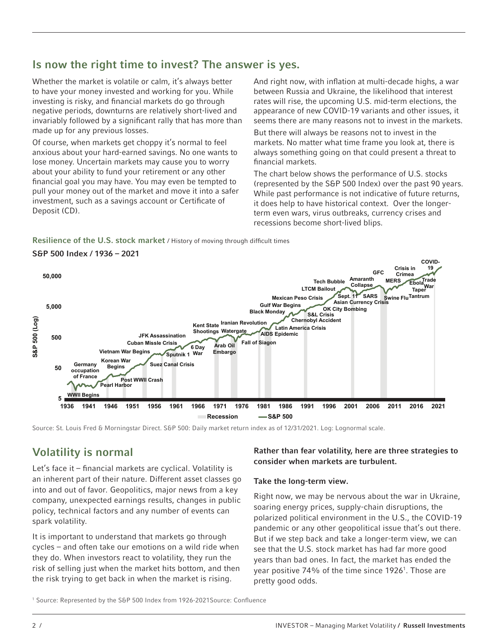### Is now the right time to invest? The answer is yes.

Whether the market is volatile or calm, it's always better to have your money invested and working for you. While investing is risky, and financial markets do go through negative periods, downturns are relatively short-lived and invariably followed by a significant rally that has more than made up for any previous losses.

Of course, when markets get choppy it's normal to feel anxious about your hard-earned savings. No one wants to lose money. Uncertain markets may cause you to worry about your ability to fund your retirement or any other financial goal you may have. You may even be tempted to pull your money out of the market and move it into a safer investment, such as a savings account or Certificate of Deposit (CD).

And right now, with inflation at multi-decade highs, a war between Russia and Ukraine, the likelihood that interest rates will rise, the upcoming U.S. mid-term elections, the appearance of new COVID-19 variants and other issues, it seems there are many reasons not to invest in the markets.

But there will always be reasons not to invest in the markets. No matter what time frame you look at, there is always something going on that could present a threat to financial markets.

The chart below shows the performance of U.S. stocks (represented by the S&P 500 Index) over the past 90 years. While past performance is not indicative of future returns, it does help to have historical context. Over the longerterm even wars, virus outbreaks, currency crises and recessions become short-lived blips.

#### Resilience of the U.S. stock market / History of moving through difficult times



Source: St. Louis Fred & Morningstar Direct. S&P 500: Daily market return index as of 12/31/2021. Log: Lognormal scale.

## Volatility is normal

Let's face it – financial markets are cyclical. Volatility is an inherent part of their nature. Different asset classes go into and out of favor. Geopolitics, major news from a key company, unexpected earnings results, changes in public policy, technical factors and any number of events can spark volatility.

It is important to understand that markets go through cycles – and often take our emotions on a wild ride when they do. When investors react to volatility, they run the risk of selling just when the market hits bottom, and then the risk trying to get back in when the market is rising.

#### Rather than fear volatility, here are three strategies to consider when markets are turbulent.

#### Take the long-term view.

Right now, we may be nervous about the war in Ukraine, soaring energy prices, supply-chain disruptions, the polarized political environment in the U.S., the COVID-19 pandemic or any other geopolitical issue that's out there. But if we step back and take a longer-term view, we can see that the U.S. stock market has had far more good years than bad ones. In fact, the market has ended the year positive 74% of the time since 1926<sup>1</sup>. Those are pretty good odds.

<sup>1</sup> Source: Represented by the S&P 500 Index from 1926-2021Source: Confluence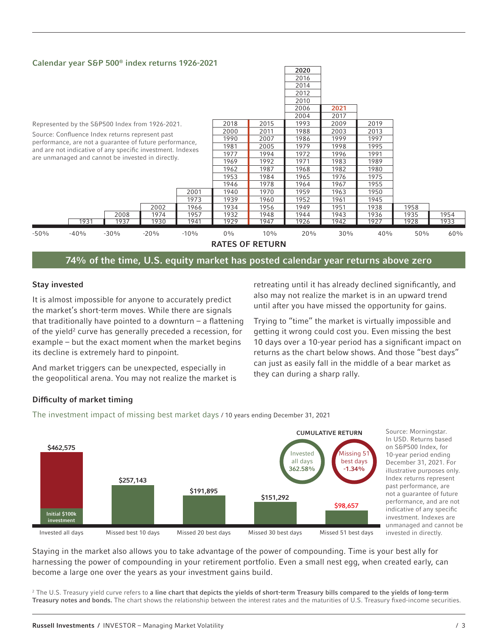#### Calendar year S&P 500® index returns 1926-2021



74% of the time, U.S. equity market has posted calendar year returns above zero

#### Stay invested

It is almost impossible for anyone to accurately predict the market's short-term moves. While there are signals that traditionally have pointed to a downturn  $-$  a flattening of the yield<sup>2</sup> curve has generally preceded a recession, for example – but the exact moment when the market begins its decline is extremely hard to pinpoint.

And market triggers can be unexpected, especially in the geopolitical arena. You may not realize the market is retreating until it has already declined significantly, and also may not realize the market is in an upward trend until after you have missed the opportunity for gains.

Trying to "time" the market is virtually impossible and getting it wrong could cost you. Even missing the best 10 days over a 10-year period has a significant impact on returns as the chart below shows. And those "best days" can just as easily fall in the middle of a bear market as they can during a sharp rally.

#### Difficulty of market timing

The investment impact of missing best market days / 10 years ending December 31, 2021



Source: Morningstar. In USD. Returns based on S&P500 Index, for 10-year period ending December 31, 2021. For illustrative purposes only. Index returns represent past performance, are not a guarantee of future performance, and are not indicative of any specific investment. Indexes are unmanaged and cannot be invested in directly.

Staying in the market also allows you to take advantage of the power of compounding. Time is your best ally for harnessing the power of compounding in your retirement portfolio. Even a small nest egg, when created early, can become a large one over the years as your investment gains build.

 $^{\rm 2}$  The U.S. Treasury yield curve refers to a line chart that depicts the yields of short-term Treasury bills compared to the yields of long-term Treasury notes and bonds. The chart shows the relationship between the interest rates and the maturities of U.S. Treasury fixed-income securities.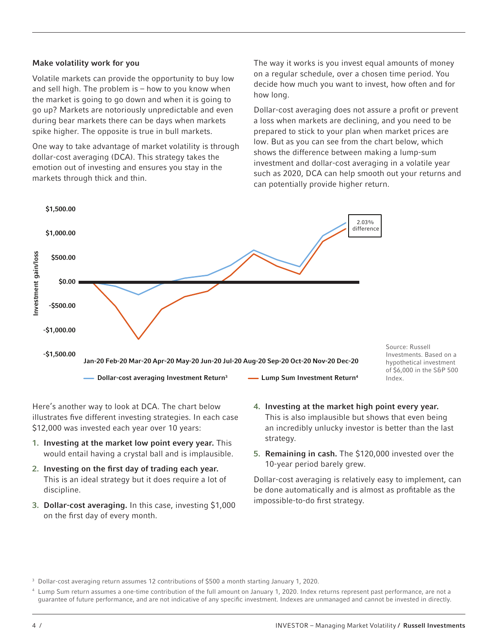#### Make volatility work for you

Volatile markets can provide the opportunity to buy low and sell high. The problem is – how to you know when the market is going to go down and when it is going to go up? Markets are notoriously unpredictable and even during bear markets there can be days when markets spike higher. The opposite is true in bull markets.

One way to take advantage of market volatility is through dollar-cost averaging (DCA). This strategy takes the emotion out of investing and ensures you stay in the markets through thick and thin.

The way it works is you invest equal amounts of money on a regular schedule, over a chosen time period. You decide how much you want to invest, how often and for how long.

Dollar-cost averaging does not assure a profit or prevent a loss when markets are declining, and you need to be prepared to stick to your plan when market prices are low. But as you can see from the chart below, which shows the difference between making a lump-sum investment and dollar-cost averaging in a volatile year such as 2020, DCA can help smooth out your returns and can potentially provide higher return.



Here's another way to look at DCA. The chart below illustrates five different investing strategies. In each case \$12,000 was invested each year over 10 years:

- 1. Investing at the market low point every year. This would entail having a crystal ball and is implausible.
- 2. Investing on the first day of trading each year. This is an ideal strategy but it does require a lot of discipline.
- 3. Dollar-cost averaging. In this case, investing \$1,000 on the first day of every month.
- 4. Investing at the market high point every year. This is also implausible but shows that even being an incredibly unlucky investor is better than the last strategy.
- 5. Remaining in cash. The \$120,000 invested over the 10-year period barely grew.

Dollar-cost averaging is relatively easy to implement, can be done automatically and is almost as profitable as the impossible-to-do first strategy.

<sup>4</sup> Lump Sum return assumes a one-time contribution of the full amount on January 1, 2020. Index returns represent past performance, are not a guarantee of future performance, and are not indicative of any specific investment. Indexes are unmanaged and cannot be invested in directly.

<sup>&</sup>lt;sup>3</sup> Dollar-cost averaging return assumes 12 contributions of \$500 a month starting January 1, 2020.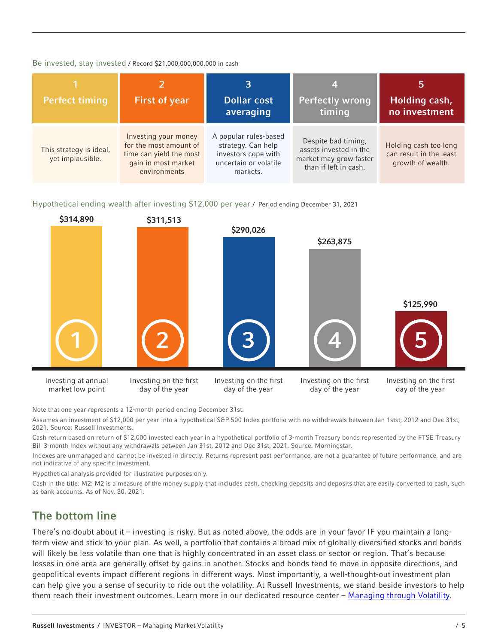#### Be invested, stay invested / Record \$21,000,000,000,000 in cash

| <b>Perfect timing</b>                       | <b>First of year</b>                                                                                             | <b>Dollar cost</b><br>averaging                                                                         | 4<br><b>Perfectly wrong</b><br>timing                                                            | Ь<br>Holding cash,<br>no investment                                   |
|---------------------------------------------|------------------------------------------------------------------------------------------------------------------|---------------------------------------------------------------------------------------------------------|--------------------------------------------------------------------------------------------------|-----------------------------------------------------------------------|
| This strategy is ideal,<br>yet implausible. | Investing your money<br>for the most amount of<br>time can yield the most<br>gain in most market<br>environments | A popular rules-based<br>strategy. Can help<br>investors cope with<br>uncertain or volatile<br>markets. | Despite bad timing,<br>assets invested in the<br>market may grow faster<br>than if left in cash. | Holding cash too long<br>can result in the least<br>growth of wealth. |

Hypothetical ending wealth after investing \$12,000 per year / Period ending December 31, 2021



Note that one year represents a 12-month period ending December 31st.

Assumes an investment of \$12,000 per year into a hypothetical S&P 500 Index portfolio with no withdrawals between Jan 1stst, 2012 and Dec 31st, 2021. Source: Russell Investments.

Cash return based on return of \$12,000 invested each year in a hypothetical portfolio of 3-month Treasury bonds represented by the FTSE Treasury Bill 3-month Index without any withdrawals between Jan 31st, 2012 and Dec 31st, 2021. Source: Morningstar.

Indexes are unmanaged and cannot be invested in directly. Returns represent past performance, are not a guarantee of future performance, and are not indicative of any specific investment.

Hypothetical analysis provided for illustrative purposes only.

Cash in the title: M2: M2 is a measure of the money supply that includes cash, checking deposits and deposits that are easily converted to cash, such as bank accounts. As of Nov. 30, 2021.

#### The bottom line

There's no doubt about it – investing is risky. But as noted above, the odds are in your favor IF you maintain a longterm view and stick to your plan. As well, a portfolio that contains a broad mix of globally diversified stocks and bonds will likely be less volatile than one that is highly concentrated in an asset class or sector or region. That's because losses in one area are generally offset by gains in another. Stocks and bonds tend to move in opposite directions, and geopolitical events impact different regions in different ways. Most importantly, a well-thought-out investment plan can help give you a sense of security to ride out the volatility. At Russell Investments, we stand beside investors to help them reach their investment outcomes. Learn more in our dedicated resource center – [Managing through Volatility.](https://russellinvestments.com/us/insights/managing-market-volatility?audience=individualinvestor)